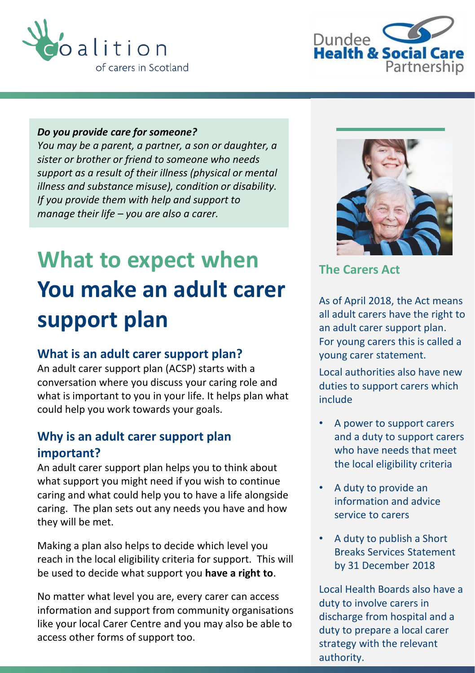



#### *Do you provide care for someone?*

*You may be a parent, a partner, a son or daughter, a sister or brother or friend to someone who needs support as a result of their illness (physical or mental illness and substance misuse), condition or disability. If you provide them with help and support to manage their life – you are also a carer.*

# **What to expect when You make an adult carer support plan**

#### **What is an adult carer support plan?**

An adult carer support plan (ACSP) starts with a conversation where you discuss your caring role and what is important to you in your life. It helps plan what could help you work towards your goals.

## **Why is an adult carer support plan important?**

An adult carer support plan helps you to think about what support you might need if you wish to continue caring and what could help you to have a life alongside caring. The plan sets out any needs you have and how they will be met.

Making a plan also helps to decide which level you reach in the local eligibility criteria for support. This will be used to decide what support you **have a right to**.

No matter what level you are, every carer can access information and support from community organisations like your local Carer Centre and you may also be able to access other forms of support too.



**The Carers Act**

As of April 2018, the Act means all adult carers have the right to an adult carer support plan. For young carers this is called a young carer statement.

Local authorities also have new duties to support carers which include

- A power to support carers and a duty to support carers who have needs that meet the local eligibility criteria
- A duty to provide an information and advice service to carers
- A duty to publish a Short Breaks Services Statement by 31 December 2018

Local Health Boards also have a duty to involve carers in discharge from hospital and a duty to prepare a local carer strategy with the relevant authority.